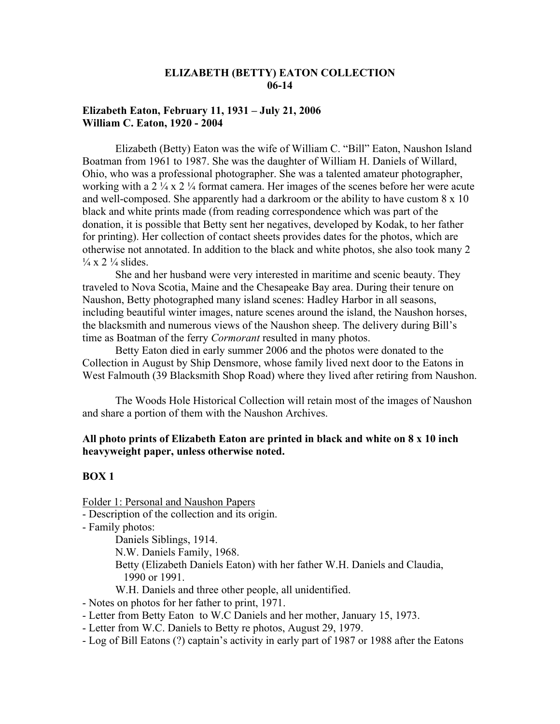# **ELIZABETH (BETTY) EATON COLLECTION 06-14**

### **Elizabeth Eaton, February 11, 1931 – July 21, 2006 William C. Eaton, 1920 - 2004**

Elizabeth (Betty) Eaton was the wife of William C. "Bill" Eaton, Naushon Island Boatman from 1961 to 1987. She was the daughter of William H. Daniels of Willard, Ohio, who was a professional photographer. She was a talented amateur photographer, working with a 2  $\frac{1}{4}$  x 2  $\frac{1}{4}$  format camera. Her images of the scenes before her were acute and well-composed. She apparently had a darkroom or the ability to have custom 8 x 10 black and white prints made (from reading correspondence which was part of the donation, it is possible that Betty sent her negatives, developed by Kodak, to her father for printing). Her collection of contact sheets provides dates for the photos, which are otherwise not annotated. In addition to the black and white photos, she also took many 2  $\frac{1}{4}$  x 2  $\frac{1}{4}$  slides.

She and her husband were very interested in maritime and scenic beauty. They traveled to Nova Scotia, Maine and the Chesapeake Bay area. During their tenure on Naushon, Betty photographed many island scenes: Hadley Harbor in all seasons, including beautiful winter images, nature scenes around the island, the Naushon horses, the blacksmith and numerous views of the Naushon sheep. The delivery during Bill's time as Boatman of the ferry *Cormorant* resulted in many photos.

Betty Eaton died in early summer 2006 and the photos were donated to the Collection in August by Ship Densmore, whose family lived next door to the Eatons in West Falmouth (39 Blacksmith Shop Road) where they lived after retiring from Naushon.

The Woods Hole Historical Collection will retain most of the images of Naushon and share a portion of them with the Naushon Archives.

### **All photo prints of Elizabeth Eaton are printed in black and white on 8 x 10 inch heavyweight paper, unless otherwise noted.**

#### **BOX 1**

Folder 1: Personal and Naushon Papers

- Description of the collection and its origin.
- Family photos:

Daniels Siblings, 1914.

N.W. Daniels Family, 1968.

Betty (Elizabeth Daniels Eaton) with her father W.H. Daniels and Claudia, 1990 or 1991.

W.H. Daniels and three other people, all unidentified.

- Notes on photos for her father to print, 1971.
- Letter from Betty Eaton to W.C Daniels and her mother, January 15, 1973.
- Letter from W.C. Daniels to Betty re photos, August 29, 1979.
- Log of Bill Eatons (?) captain's activity in early part of 1987 or 1988 after the Eatons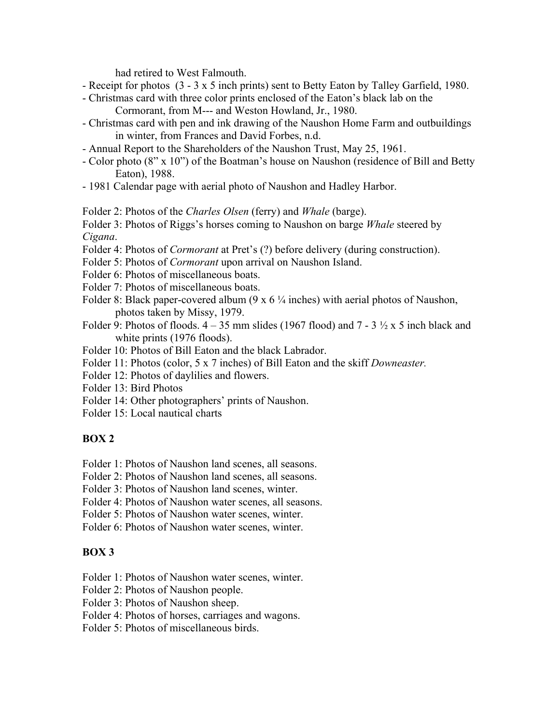had retired to West Falmouth.

- Receipt for photos (3 3 x 5 inch prints) sent to Betty Eaton by Talley Garfield, 1980.
- Christmas card with three color prints enclosed of the Eaton's black lab on the Cormorant, from M--- and Weston Howland, Jr., 1980.
- Christmas card with pen and ink drawing of the Naushon Home Farm and outbuildings in winter, from Frances and David Forbes, n.d.
- Annual Report to the Shareholders of the Naushon Trust, May 25, 1961.
- Color photo (8" x 10") of the Boatman's house on Naushon (residence of Bill and Betty Eaton), 1988.
- 1981 Calendar page with aerial photo of Naushon and Hadley Harbor.

Folder 2: Photos of the *Charles Olsen* (ferry) and *Whale* (barge).

Folder 3: Photos of Riggs's horses coming to Naushon on barge *Whale* steered by *Cigana*.

- Folder 4: Photos of *Cormorant* at Pret's (?) before delivery (during construction).
- Folder 5: Photos of *Cormorant* upon arrival on Naushon Island.
- Folder 6: Photos of miscellaneous boats.
- Folder 7: Photos of miscellaneous boats.
- Folder 8: Black paper-covered album  $(9 \times 6 \frac{1}{4} \text{ inches})$  with aerial photos of Naushon, photos taken by Missy, 1979.
- Folder 9: Photos of floods.  $4 35$  mm slides (1967 flood) and  $7 3\frac{1}{2} \times 5$  inch black and white prints (1976 floods).
- Folder 10: Photos of Bill Eaton and the black Labrador.
- Folder 11: Photos (color, 5 x 7 inches) of Bill Eaton and the skiff *Downeaster.*
- Folder 12: Photos of daylilies and flowers.
- Folder 13: Bird Photos
- Folder 14: Other photographers' prints of Naushon.
- Folder 15: Local nautical charts

# **BOX 2**

- Folder 1: Photos of Naushon land scenes, all seasons.
- Folder 2: Photos of Naushon land scenes, all seasons.
- Folder 3: Photos of Naushon land scenes, winter.
- Folder 4: Photos of Naushon water scenes, all seasons.
- Folder 5: Photos of Naushon water scenes, winter.
- Folder 6: Photos of Naushon water scenes, winter.

### **BOX 3**

- Folder 1: Photos of Naushon water scenes, winter.
- Folder 2: Photos of Naushon people.
- Folder 3: Photos of Naushon sheep.
- Folder 4: Photos of horses, carriages and wagons.
- Folder 5: Photos of miscellaneous birds.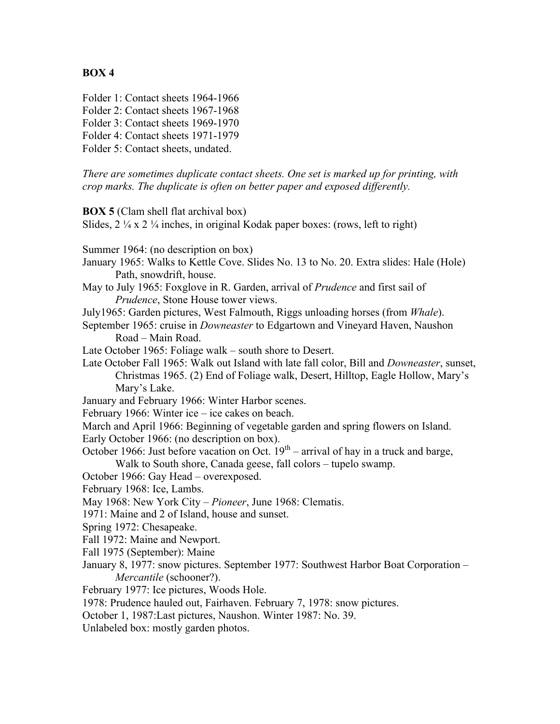# **BOX 4**

Folder 1: Contact sheets 1964-1966

Folder 2: Contact sheets 1967-1968

Folder 3: Contact sheets 1969-1970

Folder 4: Contact sheets 1971-1979

Folder 5: Contact sheets, undated.

*There are sometimes duplicate contact sheets. One set is marked up for printing, with crop marks. The duplicate is often on better paper and exposed differently.*

**BOX 5** (Clam shell flat archival box)

Slides,  $2\frac{1}{4}$  x  $2\frac{1}{4}$  inches, in original Kodak paper boxes: (rows, left to right)

Summer 1964: (no description on box)

- January 1965: Walks to Kettle Cove. Slides No. 13 to No. 20. Extra slides: Hale (Hole) Path, snowdrift, house.
- May to July 1965: Foxglove in R. Garden, arrival of *Prudence* and first sail of *Prudence*, Stone House tower views.

July1965: Garden pictures, West Falmouth, Riggs unloading horses (from *Whale*).

September 1965: cruise in *Downeaster* to Edgartown and Vineyard Haven, Naushon Road – Main Road.

Late October 1965: Foliage walk – south shore to Desert.

Late October Fall 1965: Walk out Island with late fall color, Bill and *Downeaster*, sunset, Christmas 1965. (2) End of Foliage walk, Desert, Hilltop, Eagle Hollow, Mary's Mary's Lake.

January and February 1966: Winter Harbor scenes.

February 1966: Winter ice – ice cakes on beach.

March and April 1966: Beginning of vegetable garden and spring flowers on Island.

Early October 1966: (no description on box).

October 1966: Just before vacation on Oct.  $19<sup>th</sup>$  – arrival of hay in a truck and barge, Walk to South shore, Canada geese, fall colors – tupelo swamp.

October 1966: Gay Head – overexposed.

February 1968: Ice, Lambs.

May 1968: New York City – *Pioneer*, June 1968: Clematis.

1971: Maine and 2 of Island, house and sunset.

Spring 1972: Chesapeake.

Fall 1972: Maine and Newport.

Fall 1975 (September): Maine

January 8, 1977: snow pictures. September 1977: Southwest Harbor Boat Corporation – *Mercantile* (schooner?).

February 1977: Ice pictures, Woods Hole.

1978: Prudence hauled out, Fairhaven. February 7, 1978: snow pictures.

October 1, 1987:Last pictures, Naushon. Winter 1987: No. 39.

Unlabeled box: mostly garden photos.